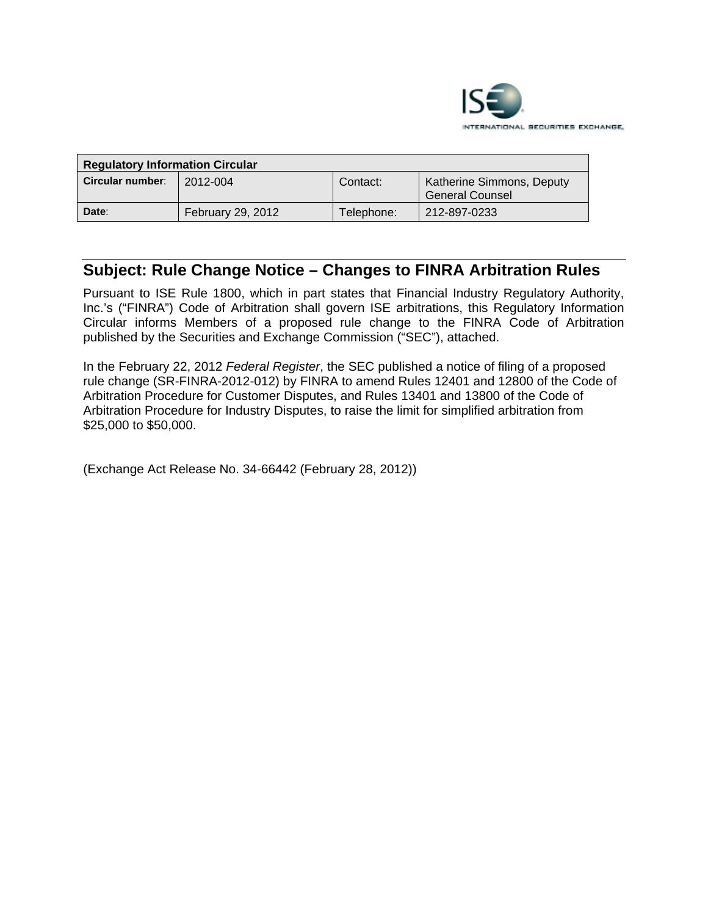

| <b>Regulatory Information Circular</b> |                   |            |                                              |
|----------------------------------------|-------------------|------------|----------------------------------------------|
| Circular number:                       | 2012-004          | Contact:   | Katherine Simmons, Deputy<br>General Counsel |
| Date:                                  | February 29, 2012 | Telephone: | 212-897-0233                                 |

# **Subject: Rule Change Notice – Changes to FINRA Arbitration Rules**

Pursuant to ISE Rule 1800, which in part states that Financial Industry Regulatory Authority, Inc.'s ("FINRA") Code of Arbitration shall govern ISE arbitrations, this Regulatory Information Circular informs Members of a proposed rule change to the FINRA Code of Arbitration published by the Securities and Exchange Commission ("SEC"), attached.

In the February 22, 2012 *Federal Register*, the SEC published a notice of filing of a proposed rule change (SR-FINRA-2012-012) by FINRA to amend Rules 12401 and 12800 of the Code of Arbitration Procedure for Customer Disputes, and Rules 13401 and 13800 of the Code of Arbitration Procedure for Industry Disputes, to raise the limit for simplified arbitration from \$25,000 to \$50,000.

(Exchange Act Release No. 34-66442 (February 28, 2012))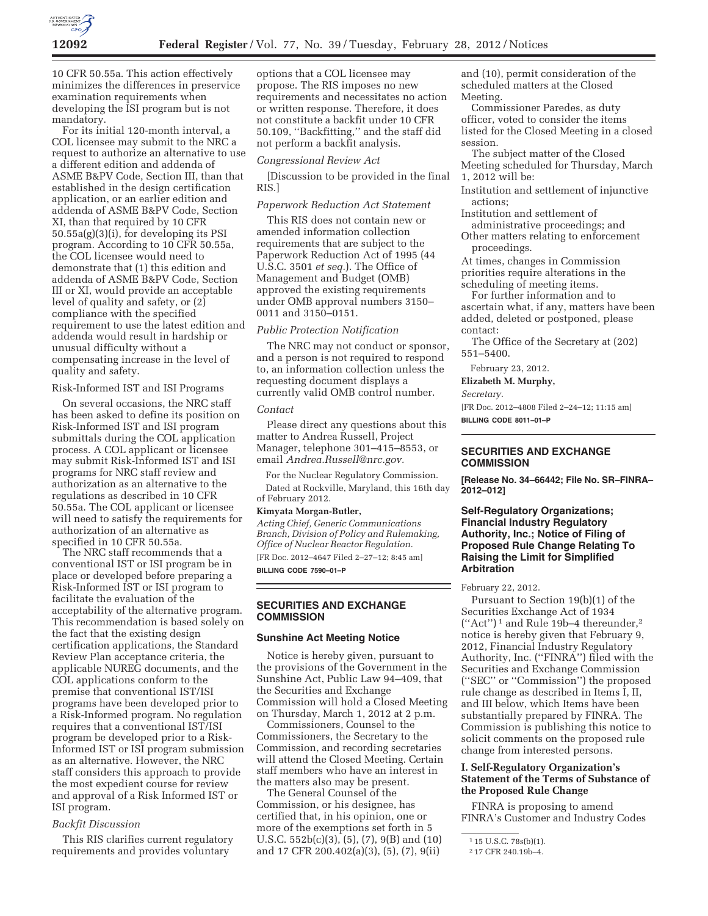

10 CFR 50.55a. This action effectively minimizes the differences in preservice examination requirements when developing the ISI program but is not mandatory.

For its initial 120-month interval, a COL licensee may submit to the NRC a request to authorize an alternative to use a different edition and addenda of ASME B&PV Code, Section III, than that established in the design certification application, or an earlier edition and addenda of ASME B&PV Code, Section XI, than that required by 10 CFR 50.55a(g)(3)(i), for developing its PSI program. According to 10 CFR 50.55a, the COL licensee would need to demonstrate that (1) this edition and addenda of ASME B&PV Code, Section III or XI, would provide an acceptable level of quality and safety, or (2) compliance with the specified requirement to use the latest edition and addenda would result in hardship or unusual difficulty without a compensating increase in the level of quality and safety.

# Risk-Informed IST and ISI Programs

On several occasions, the NRC staff has been asked to define its position on Risk-Informed IST and ISI program submittals during the COL application process. A COL applicant or licensee may submit Risk-Informed IST and ISI programs for NRC staff review and authorization as an alternative to the regulations as described in 10 CFR 50.55a. The COL applicant or licensee will need to satisfy the requirements for authorization of an alternative as specified in 10 CFR 50.55a.

The NRC staff recommends that a conventional IST or ISI program be in place or developed before preparing a Risk-Informed IST or ISI program to facilitate the evaluation of the acceptability of the alternative program. This recommendation is based solely on the fact that the existing design certification applications, the Standard Review Plan acceptance criteria, the applicable NUREG documents, and the COL applications conform to the premise that conventional IST/ISI programs have been developed prior to a Risk-Informed program. No regulation requires that a conventional IST/ISI program be developed prior to a Risk-Informed IST or ISI program submission as an alternative. However, the NRC staff considers this approach to provide the most expedient course for review and approval of a Risk Informed IST or ISI program.

## *Backfit Discussion*

This RIS clarifies current regulatory requirements and provides voluntary

options that a COL licensee may propose. The RIS imposes no new requirements and necessitates no action or written response. Therefore, it does not constitute a backfit under 10 CFR 50.109, ''Backfitting,'' and the staff did not perform a backfit analysis.

#### *Congressional Review Act*

[Discussion to be provided in the final RIS.]

# *Paperwork Reduction Act Statement*

This RIS does not contain new or amended information collection requirements that are subject to the Paperwork Reduction Act of 1995 (44 U.S.C. 3501 *et seq.*). The Office of Management and Budget (OMB) approved the existing requirements under OMB approval numbers 3150– 0011 and 3150–0151.

## *Public Protection Notification*

The NRC may not conduct or sponsor, and a person is not required to respond to, an information collection unless the requesting document displays a currently valid OMB control number.

#### *Contact*

Please direct any questions about this matter to Andrea Russell, Project Manager, telephone 301–415–8553, or email *Andrea.Russell@nrc.gov.* 

For the Nuclear Regulatory Commission.

Dated at Rockville, Maryland, this 16th day of February 2012.

## **Kimyata Morgan-Butler,**

*Acting Chief, Generic Communications Branch, Division of Policy and Rulemaking, Office of Nuclear Reactor Regulation.*  [FR Doc. 2012–4647 Filed 2–27–12; 8:45 am] **BILLING CODE 7590–01–P** 

**SECURITIES AND EXCHANGE COMMISSION** 

## **Sunshine Act Meeting Notice**

Notice is hereby given, pursuant to the provisions of the Government in the Sunshine Act, Public Law 94–409, that the Securities and Exchange Commission will hold a Closed Meeting on Thursday, March 1, 2012 at 2 p.m.

Commissioners, Counsel to the Commissioners, the Secretary to the Commission, and recording secretaries will attend the Closed Meeting. Certain staff members who have an interest in the matters also may be present.

The General Counsel of the Commission, or his designee, has certified that, in his opinion, one or more of the exemptions set forth in 5 U.S.C.  $552b(c)(3)$ ,  $(5)$ ,  $(7)$ ,  $9(B)$  and  $(10)$ and 17 CFR 200.402(a)(3), (5), (7), 9(ii)

and (10), permit consideration of the scheduled matters at the Closed Meeting.

Commissioner Paredes, as duty officer, voted to consider the items listed for the Closed Meeting in a closed session.

The subject matter of the Closed Meeting scheduled for Thursday, March 1, 2012 will be:

Institution and settlement of injunctive actions;

Institution and settlement of administrative proceedings; and

Other matters relating to enforcement proceedings.

At times, changes in Commission priorities require alterations in the scheduling of meeting items.

For further information and to ascertain what, if any, matters have been added, deleted or postponed, please contact:

The Office of the Secretary at (202) 551–5400.

February 23, 2012.

**Elizabeth M. Murphy,** 

*Secretary.* 

[FR Doc. 2012–4808 Filed 2–24–12; 11:15 am] **BILLING CODE 8011–01–P** 

# **SECURITIES AND EXCHANGE COMMISSION**

**[Release No. 34–66442; File No. SR–FINRA– 2012–012]** 

# **Self-Regulatory Organizations; Financial Industry Regulatory Authority, Inc.; Notice of Filing of Proposed Rule Change Relating To Raising the Limit for Simplified Arbitration**

February 22, 2012.

Pursuant to Section 19(b)(1) of the Securities Exchange Act of 1934 (''Act'') 1 and Rule 19b–4 thereunder,2 notice is hereby given that February 9, 2012, Financial Industry Regulatory Authority, Inc. (''FINRA'') filed with the Securities and Exchange Commission (''SEC'' or ''Commission'') the proposed rule change as described in Items I, II, and III below, which Items have been substantially prepared by FINRA. The Commission is publishing this notice to solicit comments on the proposed rule change from interested persons.

# **I. Self-Regulatory Organization's Statement of the Terms of Substance of the Proposed Rule Change**

FINRA is proposing to amend FINRA's Customer and Industry Codes

<sup>1</sup> 15 U.S.C. 78s(b)(1).

<sup>2</sup> 17 CFR 240.19b–4.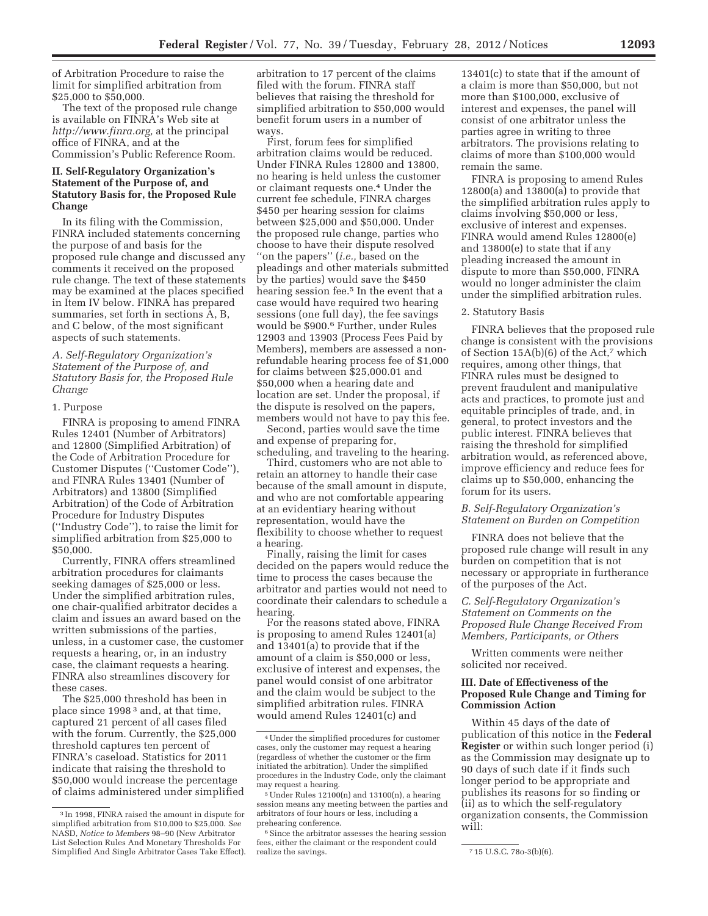of Arbitration Procedure to raise the limit for simplified arbitration from \$25,000 to \$50,000.

The text of the proposed rule change is available on FINRA's Web site at *http://www.finra.org,* at the principal office of FINRA, and at the Commission's Public Reference Room.

# **II. Self-Regulatory Organization's Statement of the Purpose of, and Statutory Basis for, the Proposed Rule Change**

In its filing with the Commission, FINRA included statements concerning the purpose of and basis for the proposed rule change and discussed any comments it received on the proposed rule change. The text of these statements may be examined at the places specified in Item IV below. FINRA has prepared summaries, set forth in sections A, B, and C below, of the most significant aspects of such statements.

# *A. Self-Regulatory Organization's Statement of the Purpose of, and Statutory Basis for, the Proposed Rule Change*

# 1. Purpose

FINRA is proposing to amend FINRA Rules 12401 (Number of Arbitrators) and 12800 (Simplified Arbitration) of the Code of Arbitration Procedure for Customer Disputes (''Customer Code''), and FINRA Rules 13401 (Number of Arbitrators) and 13800 (Simplified Arbitration) of the Code of Arbitration Procedure for Industry Disputes (''Industry Code''), to raise the limit for simplified arbitration from \$25,000 to \$50,000.

Currently, FINRA offers streamlined arbitration procedures for claimants seeking damages of \$25,000 or less. Under the simplified arbitration rules, one chair-qualified arbitrator decides a claim and issues an award based on the written submissions of the parties, unless, in a customer case, the customer requests a hearing, or, in an industry case, the claimant requests a hearing. FINRA also streamlines discovery for these cases.

The \$25,000 threshold has been in place since 1998 3 and, at that time, captured 21 percent of all cases filed with the forum. Currently, the \$25,000 threshold captures ten percent of FINRA's caseload. Statistics for 2011 indicate that raising the threshold to \$50,000 would increase the percentage of claims administered under simplified arbitration to 17 percent of the claims filed with the forum. FINRA staff believes that raising the threshold for simplified arbitration to \$50,000 would benefit forum users in a number of ways.

First, forum fees for simplified arbitration claims would be reduced. Under FINRA Rules 12800 and 13800, no hearing is held unless the customer or claimant requests one.4 Under the current fee schedule, FINRA charges \$450 per hearing session for claims between \$25,000 and \$50,000. Under the proposed rule change, parties who choose to have their dispute resolved ''on the papers'' (*i.e.,* based on the pleadings and other materials submitted by the parties) would save the \$450 hearing session fee.5 In the event that a case would have required two hearing sessions (one full day), the fee savings would be \$900.6 Further, under Rules 12903 and 13903 (Process Fees Paid by Members), members are assessed a nonrefundable hearing process fee of \$1,000 for claims between \$25,000.01 and \$50,000 when a hearing date and location are set. Under the proposal, if the dispute is resolved on the papers, members would not have to pay this fee.

Second, parties would save the time and expense of preparing for, scheduling, and traveling to the hearing.

Third, customers who are not able to retain an attorney to handle their case because of the small amount in dispute, and who are not comfortable appearing at an evidentiary hearing without representation, would have the flexibility to choose whether to request a hearing.

Finally, raising the limit for cases decided on the papers would reduce the time to process the cases because the arbitrator and parties would not need to coordinate their calendars to schedule a hearing.

For the reasons stated above, FINRA is proposing to amend Rules 12401(a) and 13401(a) to provide that if the amount of a claim is \$50,000 or less, exclusive of interest and expenses, the panel would consist of one arbitrator and the claim would be subject to the simplified arbitration rules. FINRA would amend Rules 12401(c) and

13401(c) to state that if the amount of a claim is more than \$50,000, but not more than \$100,000, exclusive of interest and expenses, the panel will consist of one arbitrator unless the parties agree in writing to three arbitrators. The provisions relating to claims of more than \$100,000 would remain the same.

FINRA is proposing to amend Rules 12800(a) and 13800(a) to provide that the simplified arbitration rules apply to claims involving \$50,000 or less, exclusive of interest and expenses. FINRA would amend Rules 12800(e) and 13800(e) to state that if any pleading increased the amount in dispute to more than \$50,000, FINRA would no longer administer the claim under the simplified arbitration rules.

# 2. Statutory Basis

FINRA believes that the proposed rule change is consistent with the provisions of Section 15A(b)(6) of the Act,7 which requires, among other things, that FINRA rules must be designed to prevent fraudulent and manipulative acts and practices, to promote just and equitable principles of trade, and, in general, to protect investors and the public interest. FINRA believes that raising the threshold for simplified arbitration would, as referenced above, improve efficiency and reduce fees for claims up to \$50,000, enhancing the forum for its users.

## *B. Self-Regulatory Organization's Statement on Burden on Competition*

FINRA does not believe that the proposed rule change will result in any burden on competition that is not necessary or appropriate in furtherance of the purposes of the Act.

# *C. Self-Regulatory Organization's Statement on Comments on the Proposed Rule Change Received From Members, Participants, or Others*

Written comments were neither solicited nor received.

## **III. Date of Effectiveness of the Proposed Rule Change and Timing for Commission Action**

Within 45 days of the date of publication of this notice in the **Federal Register** or within such longer period (i) as the Commission may designate up to 90 days of such date if it finds such longer period to be appropriate and publishes its reasons for so finding or (ii) as to which the self-regulatory organization consents, the Commission will:

<sup>3</sup> In 1998, FINRA raised the amount in dispute for simplified arbitration from \$10,000 to \$25,000. *See*  NASD, *Notice to Members* 98–90 (New Arbitrator List Selection Rules And Monetary Thresholds For Simplified And Single Arbitrator Cases Take Effect).

<sup>4</sup>Under the simplified procedures for customer cases, only the customer may request a hearing (regardless of whether the customer or the firm initiated the arbitration). Under the simplified procedures in the Industry Code, only the claimant may request a hearing.

 $5$ Under Rules 12100(n) and 13100(n), a hearing session means any meeting between the parties and arbitrators of four hours or less, including a prehearing conference.

<sup>&</sup>lt;sup>6</sup> Since the arbitrator assesses the hearing session fees, either the claimant or the respondent could

<sup>7 15</sup> U.S.C. 78o-3(b)(6).